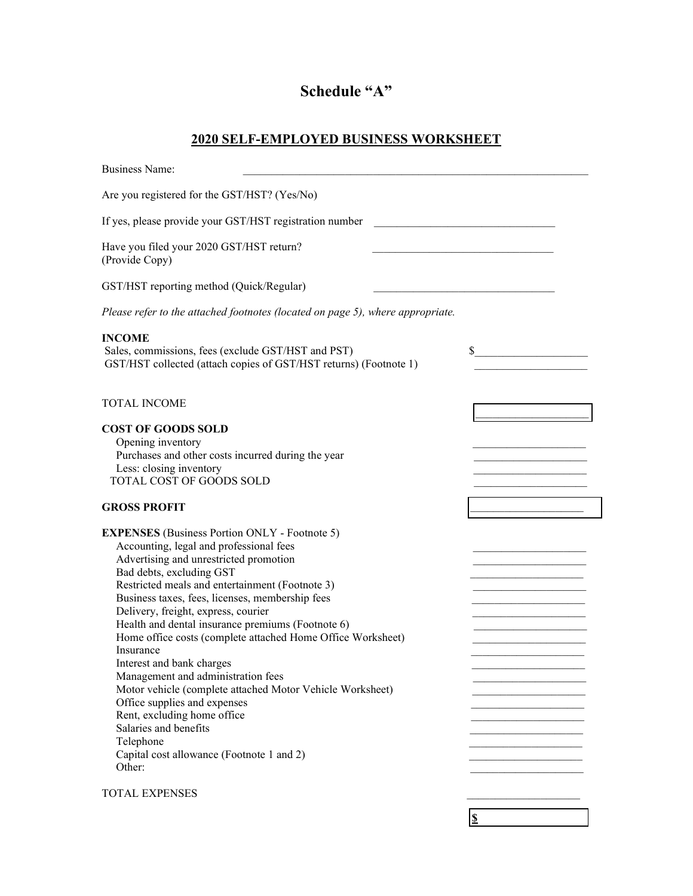## **Schedule "A"**

## **2020 SELF-EMPLOYED BUSINESS WORKSHEET**

| <b>Business Name:</b>                                                                                                                                                                                                                                                                                                                                                                                                                                                                                                                                                                                                                                                                                                                           |                                         |
|-------------------------------------------------------------------------------------------------------------------------------------------------------------------------------------------------------------------------------------------------------------------------------------------------------------------------------------------------------------------------------------------------------------------------------------------------------------------------------------------------------------------------------------------------------------------------------------------------------------------------------------------------------------------------------------------------------------------------------------------------|-----------------------------------------|
| Are you registered for the GST/HST? (Yes/No)                                                                                                                                                                                                                                                                                                                                                                                                                                                                                                                                                                                                                                                                                                    |                                         |
| If yes, please provide your GST/HST registration number                                                                                                                                                                                                                                                                                                                                                                                                                                                                                                                                                                                                                                                                                         |                                         |
| Have you filed your 2020 GST/HST return?<br>(Provide Copy)                                                                                                                                                                                                                                                                                                                                                                                                                                                                                                                                                                                                                                                                                      |                                         |
| GST/HST reporting method (Quick/Regular)                                                                                                                                                                                                                                                                                                                                                                                                                                                                                                                                                                                                                                                                                                        | <u> 1950 - Johann Barbara, martin a</u> |
| Please refer to the attached footnotes (located on page 5), where appropriate.                                                                                                                                                                                                                                                                                                                                                                                                                                                                                                                                                                                                                                                                  |                                         |
| <b>INCOME</b><br>Sales, commissions, fees (exclude GST/HST and PST)<br>GST/HST collected (attach copies of GST/HST returns) (Footnote 1)                                                                                                                                                                                                                                                                                                                                                                                                                                                                                                                                                                                                        | $\sim$                                  |
| <b>TOTAL INCOME</b>                                                                                                                                                                                                                                                                                                                                                                                                                                                                                                                                                                                                                                                                                                                             |                                         |
| <b>COST OF GOODS SOLD</b><br>Opening inventory<br>Purchases and other costs incurred during the year<br>Less: closing inventory<br><b>TOTAL COST OF GOODS SOLD</b>                                                                                                                                                                                                                                                                                                                                                                                                                                                                                                                                                                              |                                         |
| <b>GROSS PROFIT</b>                                                                                                                                                                                                                                                                                                                                                                                                                                                                                                                                                                                                                                                                                                                             |                                         |
| <b>EXPENSES</b> (Business Portion ONLY - Footnote 5)<br>Accounting, legal and professional fees<br>Advertising and unrestricted promotion<br>Bad debts, excluding GST<br>Restricted meals and entertainment (Footnote 3)<br>Business taxes, fees, licenses, membership fees<br>Delivery, freight, express, courier<br>Health and dental insurance premiums (Footnote 6)<br>Home office costs (complete attached Home Office Worksheet)<br>Insurance<br>Interest and bank charges<br>Management and administration fees<br>Motor vehicle (complete attached Motor Vehicle Worksheet)<br>Office supplies and expenses<br>Rent, excluding home office<br>Salaries and benefits<br>Telephone<br>Capital cost allowance (Footnote 1 and 2)<br>Other: |                                         |
| <b>TOTAL EXPENSES</b>                                                                                                                                                                                                                                                                                                                                                                                                                                                                                                                                                                                                                                                                                                                           |                                         |

**\$**